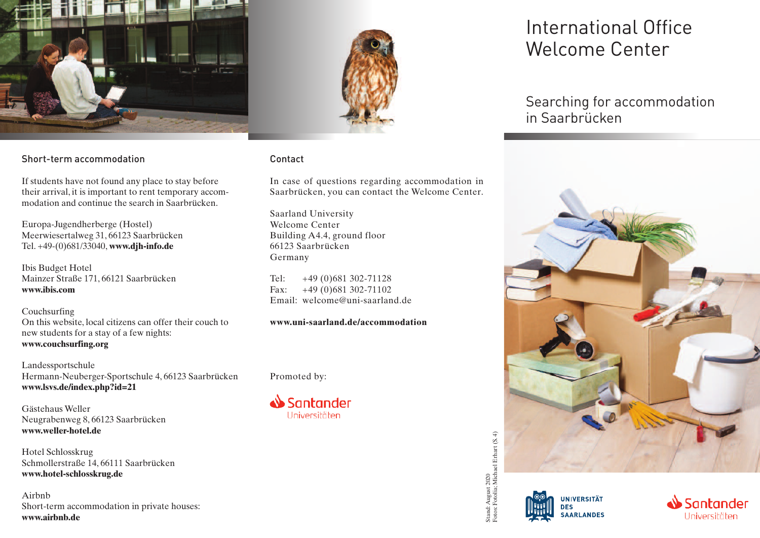



#### Short-term accommodation

If students have not found any place to stay before their arrival, it is important to rent temporary accommodation and continue the search in Saarbrücken.

Europa-Jugendherberge (Hostel) Meerwiesertalweg 31, 66123 Saarbrücken Tel. +49-(0)681/33040, **www.djh-info.de**

Ibis Budget Hotel Mainzer Straße 171, 66121 Saarbrücken **www.ibis.com**

Couchsurfing On this website, local citizens can offer their couch to new students for a stay of a few nights: **www.couchsurfing.org**

Landessportschule Hermann-Neuberger-Sportschule 4, 66123 Saarbrücken **www.lsvs.de/index.php?id=21**

Gästehaus Weller Neugrabenweg 8, 66123 Saarbrücken **www.weller-hotel.de**

Hotel Schlosskrug Schmollerstraße 14, 66111 Saarbrücken **www.hotel-schlosskrug.de**

Airbnb Short-term accommodation in private houses: WWW.HOLEI-SCHIOSSKIUg.ue<br>Airbnb<br>Short-term accommodation in private houses:<br>www.airbnb.de<br>

### Contact

In case of questions regarding accommodation in Saarbrücken, you can contact the Welcome Center.

Saarland University Welcome Center Building A4.4, ground floor 66123 Saarbrücken Germany

Tel: +49 (0)681 302-71128 Fax: +49 (0)681 302-71102 Email: welcome@uni-saarland.de

**www.uni-saarland.de/accommodation**

#### Promoted by:



# International Office Welcome Center

Searching for accommodation in Saarbrücken



Fotos: Fotolia; Michael Erhart (S. 4)